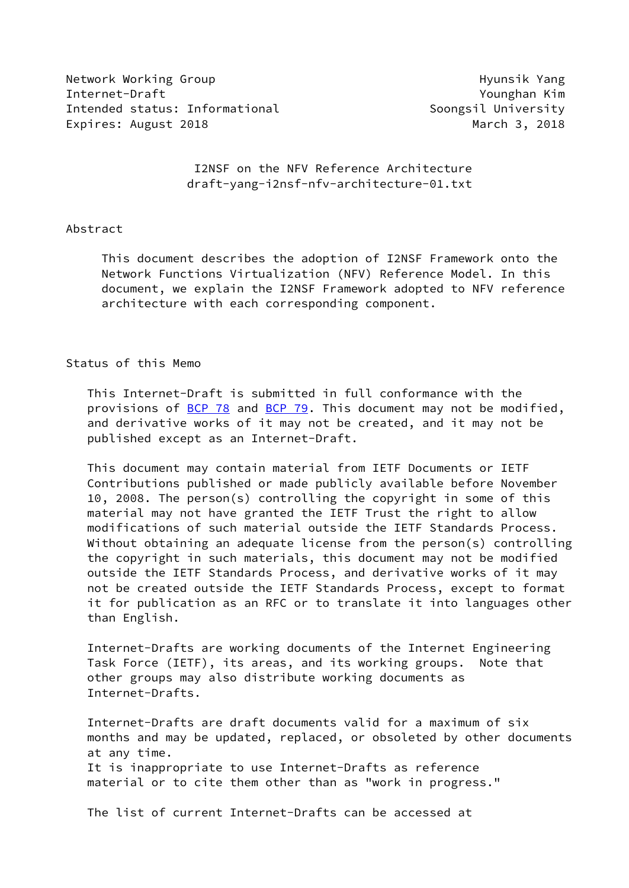Network Working Group **Hyunsik Yang** Internet-Draft Younghan Kim Intended status: Informational and Soongsil University Expires: August 2018 March 3, 2018

 I2NSF on the NFV Reference Architecture draft-yang-i2nsf-nfv-architecture-01.txt

#### Abstract

 This document describes the adoption of I2NSF Framework onto the Network Functions Virtualization (NFV) Reference Model. In this document, we explain the I2NSF Framework adopted to NFV reference architecture with each corresponding component.

#### Status of this Memo

 This Internet-Draft is submitted in full conformance with the provisions of [BCP 78](https://datatracker.ietf.org/doc/pdf/bcp78) and [BCP 79](https://datatracker.ietf.org/doc/pdf/bcp79). This document may not be modified, and derivative works of it may not be created, and it may not be published except as an Internet-Draft.

 This document may contain material from IETF Documents or IETF Contributions published or made publicly available before November 10, 2008. The person(s) controlling the copyright in some of this material may not have granted the IETF Trust the right to allow modifications of such material outside the IETF Standards Process. Without obtaining an adequate license from the person(s) controlling the copyright in such materials, this document may not be modified outside the IETF Standards Process, and derivative works of it may not be created outside the IETF Standards Process, except to format it for publication as an RFC or to translate it into languages other than English.

 Internet-Drafts are working documents of the Internet Engineering Task Force (IETF), its areas, and its working groups. Note that other groups may also distribute working documents as Internet-Drafts.

 Internet-Drafts are draft documents valid for a maximum of six months and may be updated, replaced, or obsoleted by other documents at any time. It is inappropriate to use Internet-Drafts as reference material or to cite them other than as "work in progress."

The list of current Internet-Drafts can be accessed at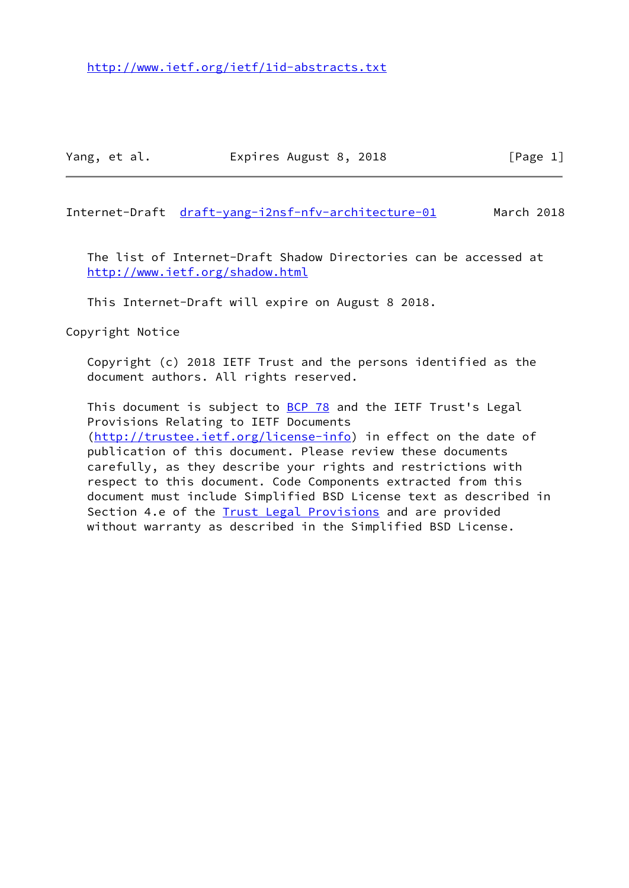Internet-Draft [draft-yang-i2nsf-nfv-architecture-01](https://datatracker.ietf.org/doc/pdf/draft-yang-i2nsf-nfv-architecture-01) March 2018

 The list of Internet-Draft Shadow Directories can be accessed at <http://www.ietf.org/shadow.html>

This Internet-Draft will expire on August 8 2018.

Copyright Notice

 Copyright (c) 2018 IETF Trust and the persons identified as the document authors. All rights reserved.

This document is subject to **[BCP 78](https://datatracker.ietf.org/doc/pdf/bcp78)** and the IETF Trust's Legal Provisions Relating to IETF Documents [\(http://trustee.ietf.org/license-info](http://trustee.ietf.org/license-info)) in effect on the date of publication of this document. Please review these documents carefully, as they describe your rights and restrictions with respect to this document. Code Components extracted from this document must include Simplified BSD License text as described in Section 4.e of the **[Trust Legal Provisions](https://trustee.ietf.org/license-info)** and are provided without warranty as described in the Simplified BSD License.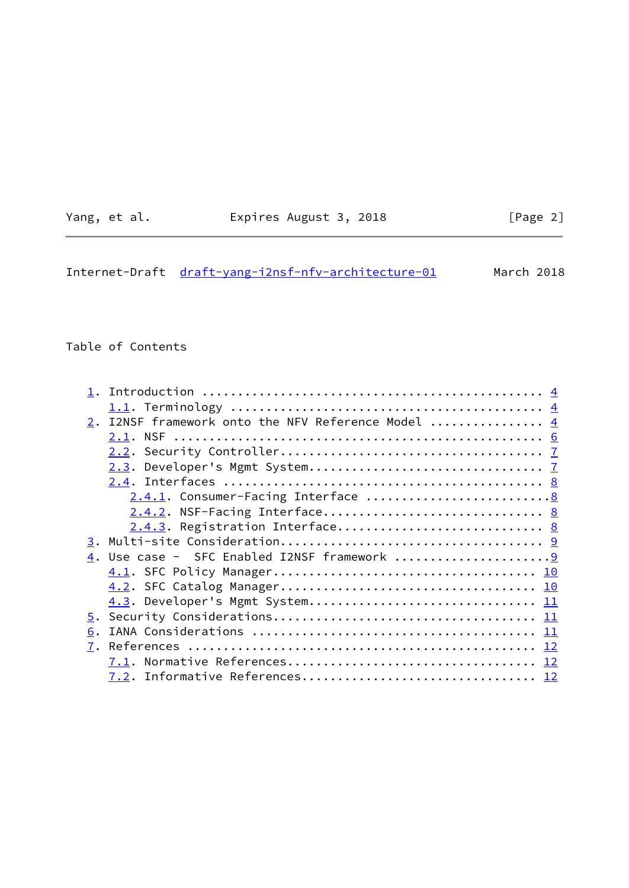| Yang, | et al. |
|-------|--------|
|       |        |

# Expires August 3, 2018 [Page 2]

|  | Internet-Draft draft-yang-i2nsf-nfv-architecture-01 | March 2018 |
|--|-----------------------------------------------------|------------|
|  |                                                     |            |

# Table of Contents

| 2. I2NSF framework onto the NFV Reference Model  4 |
|----------------------------------------------------|
|                                                    |
|                                                    |
|                                                    |
|                                                    |
|                                                    |
| 2.4.2. NSF-Facing Interface 8                      |
|                                                    |
|                                                    |
|                                                    |
|                                                    |
|                                                    |
|                                                    |
|                                                    |
| 6.                                                 |
| 7.                                                 |
|                                                    |
|                                                    |
|                                                    |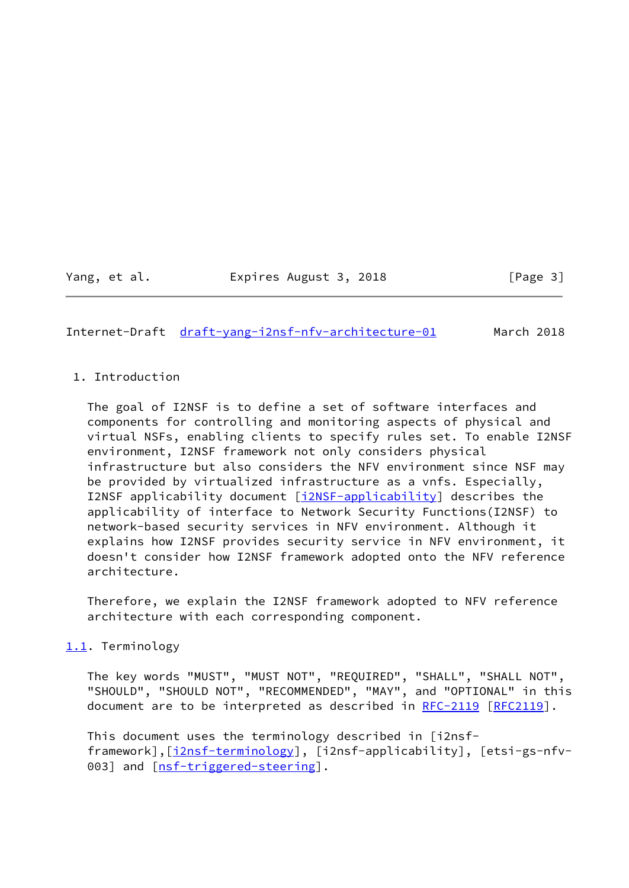Yang, et al. Expires August 3, 2018 [Page 3]

<span id="page-3-0"></span>Internet-Draft [draft-yang-i2nsf-nfv-architecture-01](https://datatracker.ietf.org/doc/pdf/draft-yang-i2nsf-nfv-architecture-01) March 2018

## 1. Introduction

 The goal of I2NSF is to define a set of software interfaces and components for controlling and monitoring aspects of physical and virtual NSFs, enabling clients to specify rules set. To enable I2NSF environment, I2NSF framework not only considers physical infrastructure but also considers the NFV environment since NSF may be provided by virtualized infrastructure as a vnfs. Especially, I2NSF applicability document [\[i2NSF-applicability](#page-12-3)] describes the applicability of interface to Network Security Functions(I2NSF) to network-based security services in NFV environment. Although it explains how I2NSF provides security service in NFV environment, it doesn't consider how I2NSF framework adopted onto the NFV reference architecture.

 Therefore, we explain the I2NSF framework adopted to NFV reference architecture with each corresponding component.

# <span id="page-3-1"></span>[1.1](#page-3-1). Terminology

 The key words "MUST", "MUST NOT", "REQUIRED", "SHALL", "SHALL NOT", "SHOULD", "SHOULD NOT", "RECOMMENDED", "MAY", and "OPTIONAL" in this document are to be interpreted as described in [RFC-2119 \[RFC2119](https://datatracker.ietf.org/doc/pdf/rfc2119)].

 This document uses the terminology described in [i2nsf framework],[[i2nsf-terminology\]](#page-12-4), [i2nsf-applicability], [etsi-gs-nfv- 003] and [\[nsf-triggered-steering](#page-12-5)].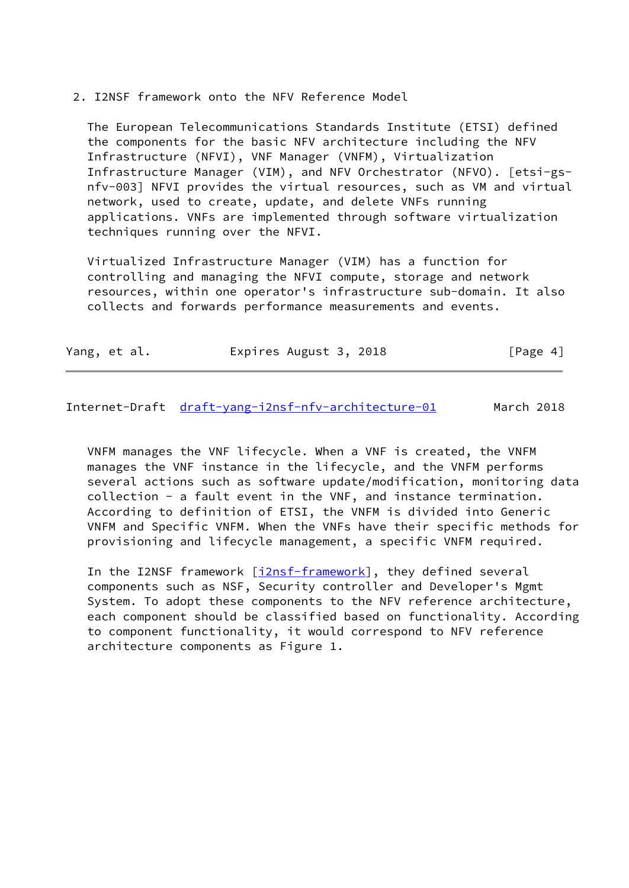2. I2NSF framework onto the NFV Reference Model

 The European Telecommunications Standards Institute (ETSI) defined the components for the basic NFV architecture including the NFV Infrastructure (NFVI), VNF Manager (VNFM), Virtualization Infrastructure Manager (VIM), and NFV Orchestrator (NFVO). [etsi-gs nfv-003] NFVI provides the virtual resources, such as VM and virtual network, used to create, update, and delete VNFs running applications. VNFs are implemented through software virtualization techniques running over the NFVI.

 Virtualized Infrastructure Manager (VIM) has a function for controlling and managing the NFVI compute, storage and network resources, within one operator's infrastructure sub-domain. It also collects and forwards performance measurements and events.

| [Page 4]<br>Expires August 3, 2018<br>Yang, et al. |  |
|----------------------------------------------------|--|
|----------------------------------------------------|--|

Internet-Draft [draft-yang-i2nsf-nfv-architecture-01](https://datatracker.ietf.org/doc/pdf/draft-yang-i2nsf-nfv-architecture-01) March 2018

 VNFM manages the VNF lifecycle. When a VNF is created, the VNFM manages the VNF instance in the lifecycle, and the VNFM performs several actions such as software update/modification, monitoring data collection - a fault event in the VNF, and instance termination. According to definition of ETSI, the VNFM is divided into Generic VNFM and Specific VNFM. When the VNFs have their specific methods for provisioning and lifecycle management, a specific VNFM required.

In the I2NSF framework [\[i2nsf-framework](#page-12-6)], they defined several components such as NSF, Security controller and Developer's Mgmt System. To adopt these components to the NFV reference architecture, each component should be classified based on functionality. According to component functionality, it would correspond to NFV reference architecture components as Figure 1.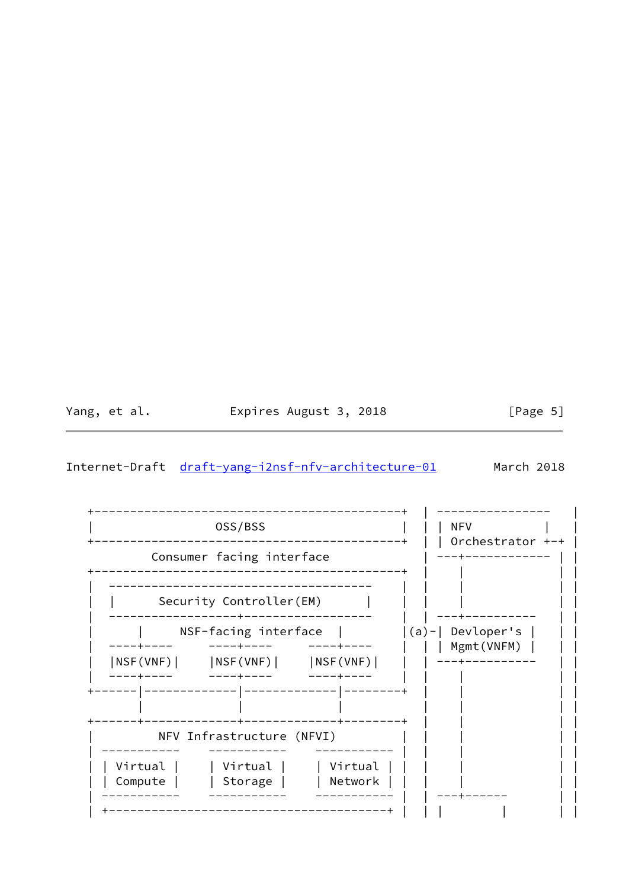Yang, et al. Expires August 3, 2018

 $[Page 5]$ 

#### <span id="page-5-0"></span>Internet-Draft draft-yang-i2nsf-nfv-architecture-01 March 2018

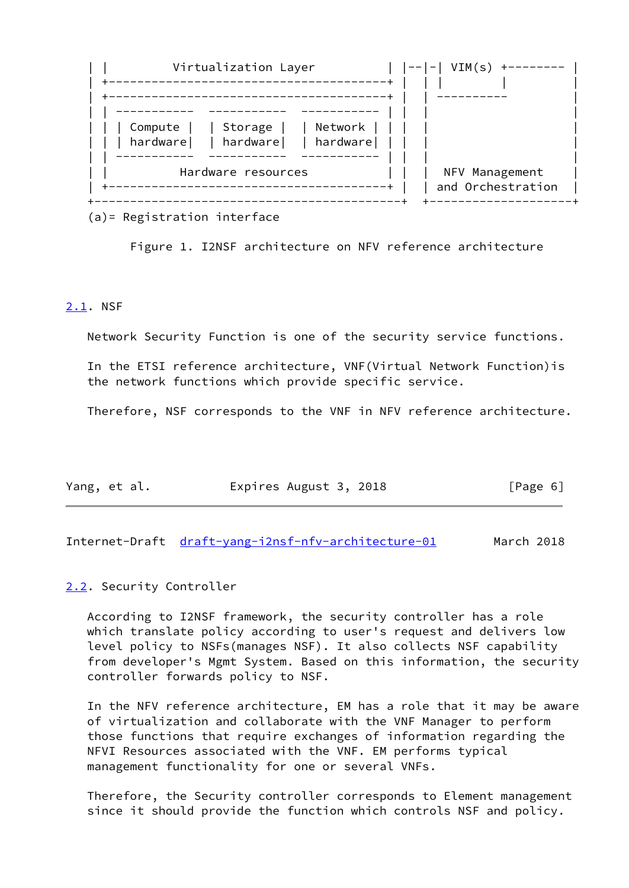

(a)= Registration interface

Figure 1. I2NSF architecture on NFV reference architecture

#### <span id="page-6-0"></span>[2.1](#page-6-0). NSF

Network Security Function is one of the security service functions.

 In the ETSI reference architecture, VNF(Virtual Network Function)is the network functions which provide specific service.

Therefore, NSF corresponds to the VNF in NFV reference architecture.

| Yang, et al. | Expires August 3, 2018 | [Page 6] |
|--------------|------------------------|----------|
|              |                        |          |

<span id="page-6-2"></span>Internet-Draft [draft-yang-i2nsf-nfv-architecture-01](https://datatracker.ietf.org/doc/pdf/draft-yang-i2nsf-nfv-architecture-01) March 2018

#### <span id="page-6-1"></span>[2.2](#page-6-1). Security Controller

 According to I2NSF framework, the security controller has a role which translate policy according to user's request and delivers low level policy to NSFs(manages NSF). It also collects NSF capability from developer's Mgmt System. Based on this information, the security controller forwards policy to NSF.

 In the NFV reference architecture, EM has a role that it may be aware of virtualization and collaborate with the VNF Manager to perform those functions that require exchanges of information regarding the NFVI Resources associated with the VNF. EM performs typical management functionality for one or several VNFs.

 Therefore, the Security controller corresponds to Element management since it should provide the function which controls NSF and policy.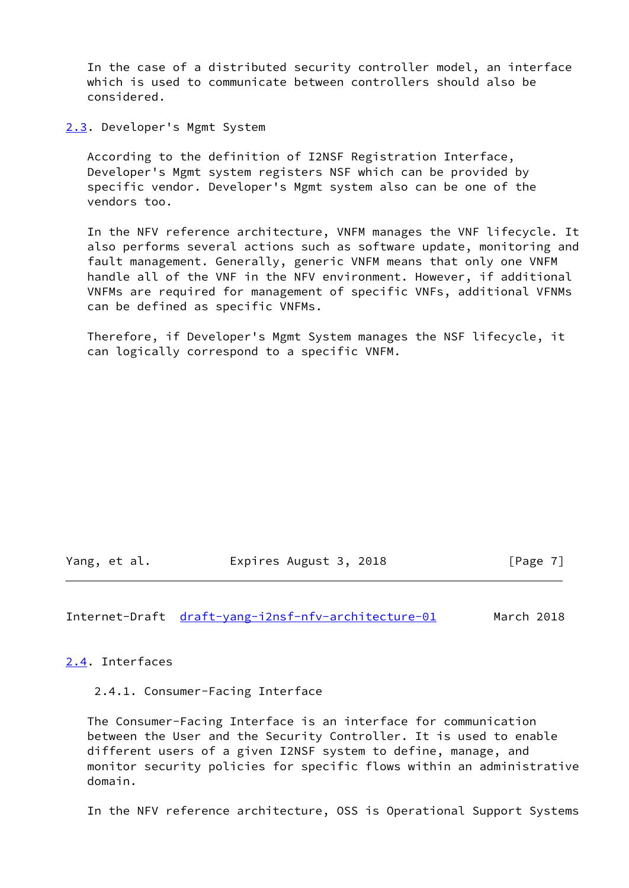In the case of a distributed security controller model, an interface which is used to communicate between controllers should also be considered.

<span id="page-7-0"></span>[2.3](#page-7-0). Developer's Mgmt System

 According to the definition of I2NSF Registration Interface, Developer's Mgmt system registers NSF which can be provided by specific vendor. Developer's Mgmt system also can be one of the vendors too.

 In the NFV reference architecture, VNFM manages the VNF lifecycle. It also performs several actions such as software update, monitoring and fault management. Generally, generic VNFM means that only one VNFM handle all of the VNF in the NFV environment. However, if additional VNFMs are required for management of specific VNFs, additional VFNMs can be defined as specific VNFMs.

 Therefore, if Developer's Mgmt System manages the NSF lifecycle, it can logically correspond to a specific VNFM.

Yang, et al. Expires August 3, 2018 [Page 7]

<span id="page-7-2"></span>Internet-Draft [draft-yang-i2nsf-nfv-architecture-01](https://datatracker.ietf.org/doc/pdf/draft-yang-i2nsf-nfv-architecture-01) March 2018

<span id="page-7-1"></span>[2.4](#page-7-1). Interfaces

2.4.1. Consumer-Facing Interface

 The Consumer-Facing Interface is an interface for communication between the User and the Security Controller. It is used to enable different users of a given I2NSF system to define, manage, and monitor security policies for specific flows within an administrative domain.

In the NFV reference architecture, OSS is Operational Support Systems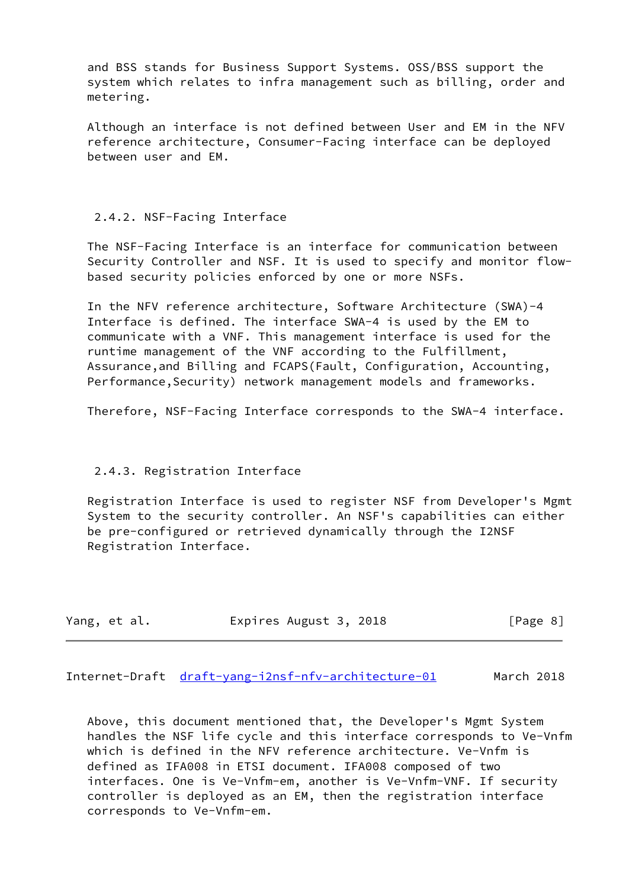and BSS stands for Business Support Systems. OSS/BSS support the system which relates to infra management such as billing, order and metering.

 Although an interface is not defined between User and EM in the NFV reference architecture, Consumer-Facing interface can be deployed between user and EM.

## 2.4.2. NSF-Facing Interface

 The NSF-Facing Interface is an interface for communication between Security Controller and NSF. It is used to specify and monitor flow based security policies enforced by one or more NSFs.

 In the NFV reference architecture, Software Architecture (SWA)-4 Interface is defined. The interface SWA-4 is used by the EM to communicate with a VNF. This management interface is used for the runtime management of the VNF according to the Fulfillment, Assurance,and Billing and FCAPS(Fault, Configuration, Accounting, Performance, Security) network management models and frameworks.

Therefore, NSF-Facing Interface corresponds to the SWA-4 interface.

# 2.4.3. Registration Interface

 Registration Interface is used to register NSF from Developer's Mgmt System to the security controller. An NSF's capabilities can either be pre-configured or retrieved dynamically through the I2NSF Registration Interface.

| Yang, et al. | Expires August 3, 2018 |  | [Page 8] |
|--------------|------------------------|--|----------|
|--------------|------------------------|--|----------|

<span id="page-8-0"></span>Internet-Draft [draft-yang-i2nsf-nfv-architecture-01](https://datatracker.ietf.org/doc/pdf/draft-yang-i2nsf-nfv-architecture-01) March 2018

 Above, this document mentioned that, the Developer's Mgmt System handles the NSF life cycle and this interface corresponds to Ve-Vnfm which is defined in the NFV reference architecture. Ve-Vnfm is defined as IFA008 in ETSI document. IFA008 composed of two interfaces. One is Ve-Vnfm-em, another is Ve-Vnfm-VNF. If security controller is deployed as an EM, then the registration interface corresponds to Ve-Vnfm-em.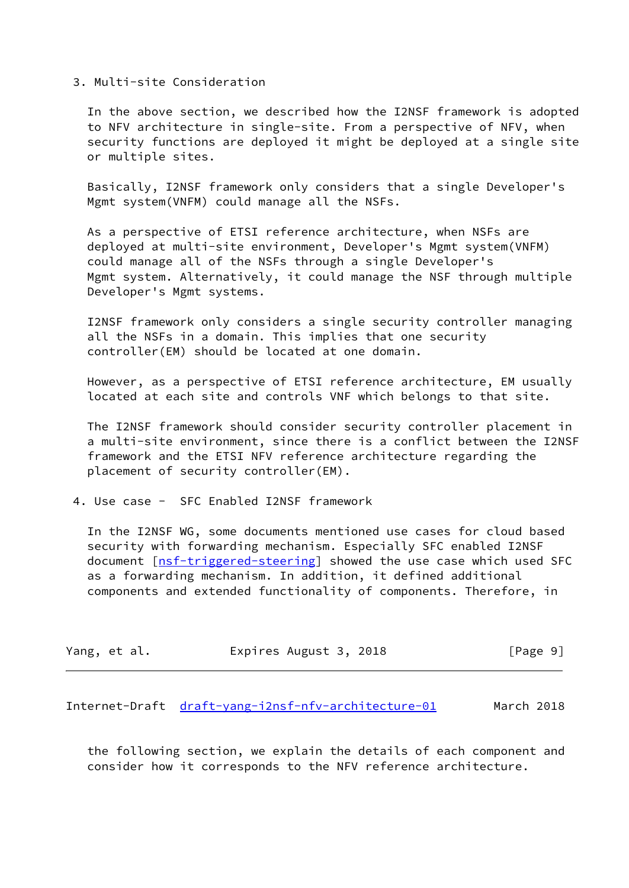#### 3. Multi-site Consideration

 In the above section, we described how the I2NSF framework is adopted to NFV architecture in single-site. From a perspective of NFV, when security functions are deployed it might be deployed at a single site or multiple sites.

 Basically, I2NSF framework only considers that a single Developer's Mgmt system(VNFM) could manage all the NSFs.

 As a perspective of ETSI reference architecture, when NSFs are deployed at multi-site environment, Developer's Mgmt system(VNFM) could manage all of the NSFs through a single Developer's Mgmt system. Alternatively, it could manage the NSF through multiple Developer's Mgmt systems.

 I2NSF framework only considers a single security controller managing all the NSFs in a domain. This implies that one security controller(EM) should be located at one domain.

 However, as a perspective of ETSI reference architecture, EM usually located at each site and controls VNF which belongs to that site.

 The I2NSF framework should consider security controller placement in a multi-site environment, since there is a conflict between the I2NSF framework and the ETSI NFV reference architecture regarding the placement of security controller(EM).

4. Use case - SFC Enabled I2NSF framework

 In the I2NSF WG, some documents mentioned use cases for cloud based security with forwarding mechanism. Especially SFC enabled I2NSF document [\[nsf-triggered-steering](#page-12-5)] showed the use case which used SFC as a forwarding mechanism. In addition, it defined additional components and extended functionality of components. Therefore, in

| Yang, et al. | Expires August 3, 2018 | [Page 9] |
|--------------|------------------------|----------|
|--------------|------------------------|----------|

<span id="page-9-0"></span>Internet-Draft [draft-yang-i2nsf-nfv-architecture-01](https://datatracker.ietf.org/doc/pdf/draft-yang-i2nsf-nfv-architecture-01) March 2018

 the following section, we explain the details of each component and consider how it corresponds to the NFV reference architecture.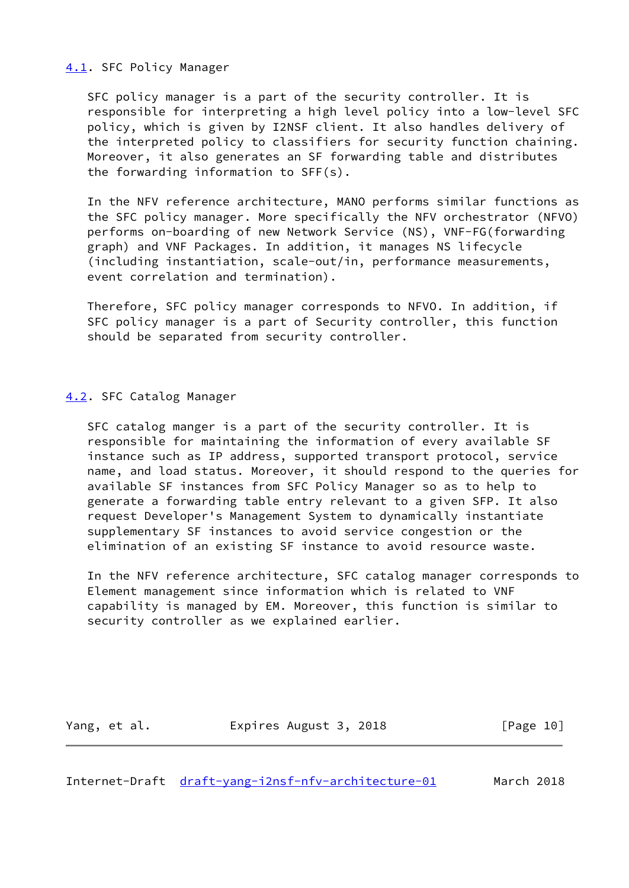## <span id="page-10-0"></span>[4.1](#page-10-0). SFC Policy Manager

 SFC policy manager is a part of the security controller. It is responsible for interpreting a high level policy into a low-level SFC policy, which is given by I2NSF client. It also handles delivery of the interpreted policy to classifiers for security function chaining. Moreover, it also generates an SF forwarding table and distributes the forwarding information to SFF(s).

 In the NFV reference architecture, MANO performs similar functions as the SFC policy manager. More specifically the NFV orchestrator (NFVO) performs on-boarding of new Network Service (NS), VNF-FG(forwarding graph) and VNF Packages. In addition, it manages NS lifecycle (including instantiation, scale-out/in, performance measurements, event correlation and termination).

 Therefore, SFC policy manager corresponds to NFVO. In addition, if SFC policy manager is a part of Security controller, this function should be separated from security controller.

## <span id="page-10-1"></span>[4.2](#page-10-1). SFC Catalog Manager

 SFC catalog manger is a part of the security controller. It is responsible for maintaining the information of every available SF instance such as IP address, supported transport protocol, service name, and load status. Moreover, it should respond to the queries for available SF instances from SFC Policy Manager so as to help to generate a forwarding table entry relevant to a given SFP. It also request Developer's Management System to dynamically instantiate supplementary SF instances to avoid service congestion or the elimination of an existing SF instance to avoid resource waste.

 In the NFV reference architecture, SFC catalog manager corresponds to Element management since information which is related to VNF capability is managed by EM. Moreover, this function is similar to security controller as we explained earlier.

| [Page 10]<br>Expires August 3, 2018<br>Yang, et al. |  |
|-----------------------------------------------------|--|
|-----------------------------------------------------|--|

<span id="page-10-2"></span>Internet-Draft [draft-yang-i2nsf-nfv-architecture-01](https://datatracker.ietf.org/doc/pdf/draft-yang-i2nsf-nfv-architecture-01) March 2018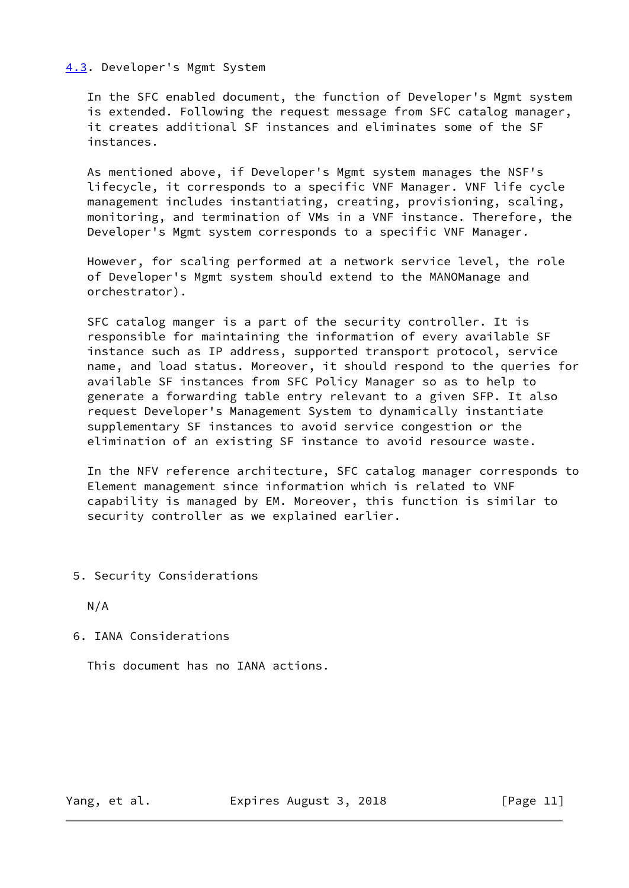## <span id="page-11-0"></span>[4.3](#page-11-0). Developer's Mgmt System

 In the SFC enabled document, the function of Developer's Mgmt system is extended. Following the request message from SFC catalog manager, it creates additional SF instances and eliminates some of the SF instances.

 As mentioned above, if Developer's Mgmt system manages the NSF's lifecycle, it corresponds to a specific VNF Manager. VNF life cycle management includes instantiating, creating, provisioning, scaling, monitoring, and termination of VMs in a VNF instance. Therefore, the Developer's Mgmt system corresponds to a specific VNF Manager.

 However, for scaling performed at a network service level, the role of Developer's Mgmt system should extend to the MANOManage and orchestrator).

 SFC catalog manger is a part of the security controller. It is responsible for maintaining the information of every available SF instance such as IP address, supported transport protocol, service name, and load status. Moreover, it should respond to the queries for available SF instances from SFC Policy Manager so as to help to generate a forwarding table entry relevant to a given SFP. It also request Developer's Management System to dynamically instantiate supplementary SF instances to avoid service congestion or the elimination of an existing SF instance to avoid resource waste.

 In the NFV reference architecture, SFC catalog manager corresponds to Element management since information which is related to VNF capability is managed by EM. Moreover, this function is similar to security controller as we explained earlier.

5. Security Considerations

N/A

6. IANA Considerations

This document has no IANA actions.

Yang, et al. Expires August 3, 2018 [Page 11]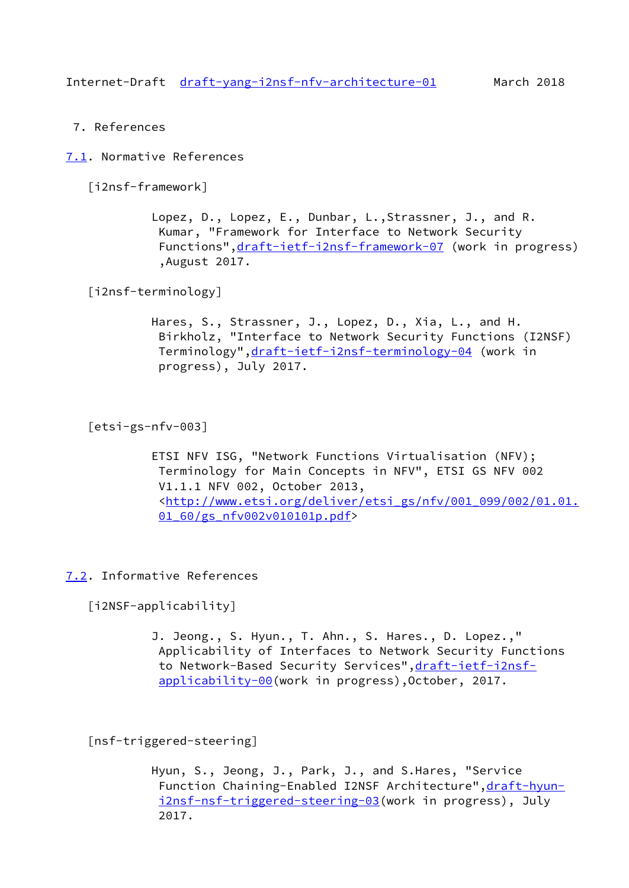<span id="page-12-0"></span>7. References

<span id="page-12-1"></span>[7.1](#page-12-1). Normative References

<span id="page-12-6"></span>[i2nsf-framework]

 Lopez, D., Lopez, E., Dunbar, L.,Strassner, J., and R. Kumar, "Framework for Interface to Network Security Functions", draft-ietf-i2nsf-framework-07 (work in progress) ,August 2017.

<span id="page-12-4"></span>[i2nsf-terminology]

 Hares, S., Strassner, J., Lopez, D., Xia, L., and H. Birkholz, "Interface to Network Security Functions (I2NSF) Terminology",[draft-ietf-i2nsf-terminology-04](https://datatracker.ietf.org/doc/pdf/draft-ietf-i2nsf-terminology-04) (work in progress), July 2017.

[etsi-gs-nfv-003]

 ETSI NFV ISG, "Network Functions Virtualisation (NFV); Terminology for Main Concepts in NFV", ETSI GS NFV 002 V1.1.1 NFV 002, October 2013, <[http://www.etsi.org/deliver/etsi\\_gs/nfv/001\\_099/002/01.01.](http://www.etsi.org/deliver/etsi_gs/nfv/001_099/002/01.01.01_60/gs_nfv002v010101p.pdf) [01\\_60/gs\\_nfv002v010101p.pdf](http://www.etsi.org/deliver/etsi_gs/nfv/001_099/002/01.01.01_60/gs_nfv002v010101p.pdf)>

#### <span id="page-12-2"></span>[7.2](#page-12-2). Informative References

<span id="page-12-3"></span>[i2NSF-applicability]

 J. Jeong., S. Hyun., T. Ahn., S. Hares., D. Lopez.," Applicability of Interfaces to Network Security Functions to Network-Based Security Services", draft-ietf-i2nsf[applicability-00](https://datatracker.ietf.org/doc/pdf/draft-ietf-i2nsf-applicability-00)(work in progress),October, 2017.

<span id="page-12-5"></span>[nsf-triggered-steering]

 Hyun, S., Jeong, J., Park, J., and S.Hares, "Service Function Chaining-Enabled I2NSF Architecture", draft-hyun [i2nsf-nsf-triggered-steering-03](https://datatracker.ietf.org/doc/pdf/draft-hyun-i2nsf-nsf-triggered-steering-03)(work in progress), July 2017.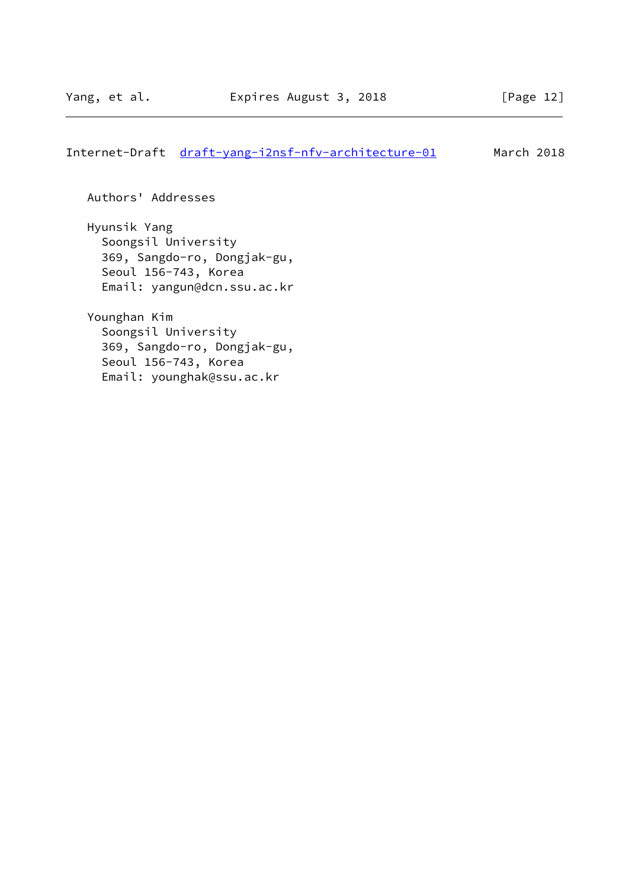# Internet-Draft [draft-yang-i2nsf-nfv-architecture-01](https://datatracker.ietf.org/doc/pdf/draft-yang-i2nsf-nfv-architecture-01) March 2018

Authors' Addresses

 Hyunsik Yang Soongsil University 369, Sangdo-ro, Dongjak-gu, Seoul 156-743, Korea Email: yangun@dcn.ssu.ac.kr

 Younghan Kim Soongsil University 369, Sangdo-ro, Dongjak-gu, Seoul 156-743, Korea Email: younghak@ssu.ac.kr